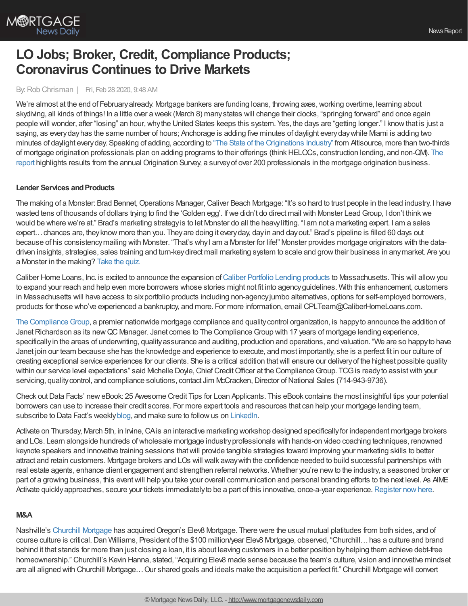

# **LO Jobs; Broker, Credit, Compliance Products; Coronavirus Continues to Drive Markets**

## By: Rob Chrisman | Fri, Feb 28 2020, 9:48 AM

We're almost at the end of February already. Mortgage bankers are funding loans, throwing axes, working overtime, learning about skydiving, all kinds of things! In a little over a week (March 8) manystates will change their clocks, "springing forward" and once again people will wonder, after "losing" an hour,whythe United States keeps this system. Yes, the days are "getting longer." I knowthat is just a saying, as every day has the same number of hours; Anchorage is adding five minutes of daylight every day while Mami is adding two minutes of daylight every day. Speaking of adding, according to "The State of the Originations Industry" from Altisource, more than two-thirds of mortgage origination professionals plan on adding programs to their offerings [\(thinkHELOCs,](https://altisource.com/News-Articles/Press-Releases/2020/02/Altisource-Releases-Annual-Report-on-the-State-of-the-Originations-Industry) construction lending, and non-QM). The report highlights results from the annual Origination Survey, a surveyof over 200 professionals in the mortgage origination business.

#### **Lender Services and Products**

The making of a Monster: Brad Bennet, Operations Manager, Caliver Beach Mortgage: "It's so hard to trust people in the lead industry. I have wasted tens of thousands of dollars trying to find the 'Golden egg'. If we didn't do direct mail with Monster Lead Group, I don't think we would be where we're at." Brad's marketing strategyis to let Monster do all the heavylifting. "I am not a marketing expert. I am a sales expert…chances are, theyknow more than you. Theyare doing it everyday, dayin and dayout." Brad's pipeline is filled 60 days out because of his consistencymailing with Monster. "That's whyI am a Monster for life!" Monster provides mortgage originators with the datadriven insights, strategies, sales training and turn-keydirect mail marketing system to scale and growtheir business in anymarket. Are you a Monster in the making? [Take](https://www.monsterleadgroup.com/chrismanhowitworks/) the quiz.

Caliber Home Loans, Inc. is excited to announce the expansion of Caliber Portfolio Lending [products](https://caliberhomeloans.com/loans-programs/portfolio-lending-program) to Massachusetts. This will allow you to expand your reach and help even more borrowers whose stories might not fit into agencyguidelines. With this enhancement, customers in Massachusetts will have access to sixportfolio products including non-agencyjumbo alternatives, options for self-employed borrowers, products for those who've experienced a bankruptcy, and more. For more information, email CPLTeam@CaliberHomeLoans.com.

The Compliance Group, a premier nationwide mortgage compliance and quality control organization, is happy to announce the addition of Janet Richardson as its new QC Manager. Janet comes to The Compliance Group with 17 years of mortgage lending experience, specifically in the areas of underwriting, quality assurance and auditing, production and operations, and valuation. "We are so happy to have Janet join our team because she has the knowledge and experience to execute, and most importantly, she is a perfect fit in our culture of creating exceptional service experiences for our clients. She is a critical addition thatwill ensure our deliveryof the highest possible quality within our service level expectations" said Michelle Doyle, Chief Credit Officer at the Compliance Group. TCG is ready to assist with your servicing, quality control, and compliance solutions, contact Jim McCracken, Director of National Sales (714-943-9736).

Check out Data Facts' new eBook: 25 Awesome Credit Tips for Loan Applicants. This eBook contains the most insightful tips your potential borrowers can use to increase their credit scores. For more expert tools and resources that can help your mortgage lending team, subscribe to Data Fact's weekly [blog](https://www.datafacts.com/lendingsolutionsblog), and make sure to follow us on [LinkedIn.](https://www.linkedin.com/company/629022)

Activate on Thursday, March 5th, in Irvine, CAis an interactive marketing workshop designed specifically for independent mortgage brokers and LOs. Learn alongside hundreds ofwholesale mortgage industryprofessionals with hands-on video coaching techniques, renowned keynote speakers and innovative training sessions thatwill provide tangible strategies toward improving your marketing skills to better attract and retain customers. Mortgage brokers and LOs will walk awaywith the confidence needed to build successful partnerships with real estate agents, enhance client engagement and strengthen referral networks. Whether you're newto the industry, a seasoned broker or part of a growing business, this event will help you take your overall communication and personal branding efforts to the next level. As AIME Activate quickly approaches, secure your tickets immediately to be a part of this innovative, once-a-year experience. Register now here.

### **M&A**

Nashville's Churchill [Mortgage](https://workforcenow.adp.com/mascsr/default/mdf/recruitment/recruitment.html?cid=7571ef00-f01b-48f4-8900-ad87a56954e2&ccId=19000101_000001&type=MP&lang=en_US) has acquired Oregon's Elev8 Mortgage. There were the usual mutual platitudes from both sides, and of course culture is critical.Dan Williams, President of the \$100 million/year Elev8 Mortgage, observed, "Churchill…has a culture and brand behind it that stands for more than just closing a loan, it is about leaving customers in a better position byhelping them achieve debt-free homeownership." Churchill's Kevin Hanna, stated, "Acquiring Elev8 made sense because the team's culture, vision and innovative mindset are all aligned with Churchill Mortgage…Our shared goals and ideals make the acquisition a perfect fit." Churchill Mortgage will convert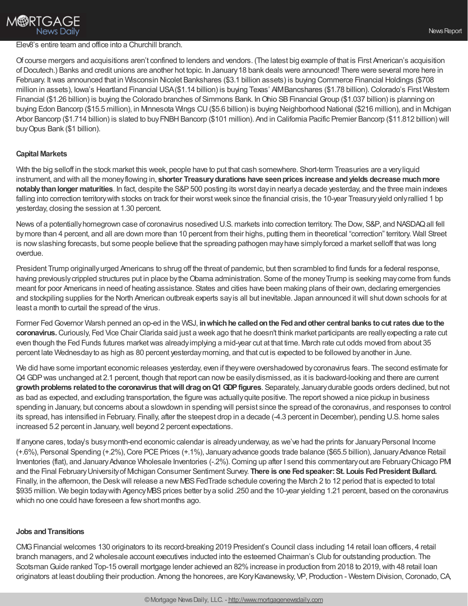## Elev8's entire team and office into a Churchill branch.

Of course mergers and acquisitions aren't confined to lenders and vendors. (The latest big example of that is First American's acquisition ofDocutech.) Banks and credit unions are another hot topic. In January18 bank deals were announced! There were several more here in February. Itwas announced that in Wisconsin Nicolet Bankshares (\$3.1 billion assets) is buying Commerce Financial Holdings (\$708 million in assets), Iowa's Heartland Financial USA(\$1.14 billion) is buying Texas' AIMBancshares (\$1.78 billion).Colorado's First Western Financial (\$1.26 billion) is buying the Colorado branches of Simmons Bank. In Ohio SB Financial Group (\$1.037 billion) is planning on buying Edon Bancorp (\$15.5 million), in Minnesota Wings CU(\$5.6 billion) is buying Neighborhood National (\$216 million), and in Michigan Arbor Bancorp (\$1.714 billion) is slated to buy FNBH Bancorp (\$101 million). And in California Pacific Premier Bancorp (\$11.812 billion) will buyOpus Bank (\$1 billion).

## **Capital Markets**

With the big selloff in the stock market this week, people have to put that cash somewhere. Short-term Treasuries are a veryliquid instrument, and with all the moneyflowing in, **shorter Treasurydurations have seenprices increase andyields decrease muchmore notablythanlonger maturities**. In fact, despite the S&P500 posting its worst dayin nearlya decade yesterday, and the three main indexes falling into correction territory with stocks on track for their worst week since the financial crisis, the 10-year Treasury yield only rallied 1 bp yesterday, closing the session at 1.30 percent.

News of a potentiallyhomegrown case of coronavirus nosedived U.S. markets into correction territory. The Dow, S&P, and NASDAQall fell bymore than 4 percent, and all are down more than 10 percent from their highs, putting them in theoretical "correction" territory. Wall Street is now slashing forecasts, but some people believe that the spreading pathogen may have simply forced a market selloff that was long overdue.

President Trump originallyurged Americans to shrug off the threat of pandemic, but then scrambled to find funds for a federal response, having previously crippled structures put in place by the Obama administration. Some of the money Trump is seeking may come from funds meant for poor Americans in need of heating assistance. States and cities have been making plans of their own, declaring emergencies and stockpiling supplies for the North American outbreak experts sayis all but inevitable. Japan announced itwill shut down schools for at least a month to curtail the spread of the virus.

Former FedGovernor Warsh penned an op-ed in the WSJ, **inwhichhe calledonthe Fedandother central banks tocutrates due tothe coronavirus.**Curiously, Fed Vice Chair Clarida said just a week ago that he doesn't think market participants are reallyexpecting a rate cut even though the Fed Funds futures marketwas alreadyimplying a mid-year cut at that time. March rate cut odds moved from about 35 percent late Wednesdayto as high as 80 percent yesterdaymorning, and that cut is expected to be followed byanother in June.

We did have some important economic releases yesterday, even if theywere overshadowed bycoronavirus fears. The second estimate for Q4 GDP was unchanged at 2.1 percent, though that report can now be easily dismissed, as it is backward-looking and there are current growth problems related to the coronavirus that will drag on Q1 GDP figures. Separately, January durable goods orders declined, but not as bad as expected, and excluding transportation, the figure was actuallyquite positive. The report showed a nice pickup in business spending in January, but concerns about a slowdown in spending will persist since the spread of the coronavirus, and responses to control its spread, has intensified in February. Finally, after the steepest drop in a decade (-4.3 percent in December), pending U.S. home sales increased 5.2 percent in January, well beyond 2 percent expectations.

If anyone cares, today's busymonth-end economic calendar is already underway, as we've had the prints for January Personal Income (+.6%), Personal Spending (+.2%),Core PCEPrices (+.1%), Januaryadvance goods trade balance (\$65.5 billion), JanuaryAdvance Retail Inventories (flat), and January Advance Wholesale Inventories (-.2%). Coming up after I send this commentary out are February Chicago PMI and the Final FebruaryUniversityof Michigan Consumer Sentiment Survey. **There is one Fedspeaker:St. Louis FedPresident Bullard.** Finally, in the afternoon, the Desk will release a new MBS FedTrade schedule covering the March 2 to 12 period that is expected to total \$935 million. We begin today with Agency MBS prices better by a solid .250 and the 10-year yielding 1.21 percent, based on the coronavirus which no one could have foreseen a fewshort months ago.

### **Jobs andTransitions**

CMGFinancial welcomes 130 originators to its record-breaking 2019 President's Council class including 14 retail loan officers, 4 retail branch managers, and 2 wholesale account executives inducted into the esteemed Chairman's Club for outstanding production. The Scotsman Guide ranked Top-15 overall mortgage lender achieved an 82% increase in production from 2018 to 2019, with 48 retail loan originators at least doubling their production. Among the honorees, are KoryKavanewsky, VP, Production - Western Division,Coronado,CA,